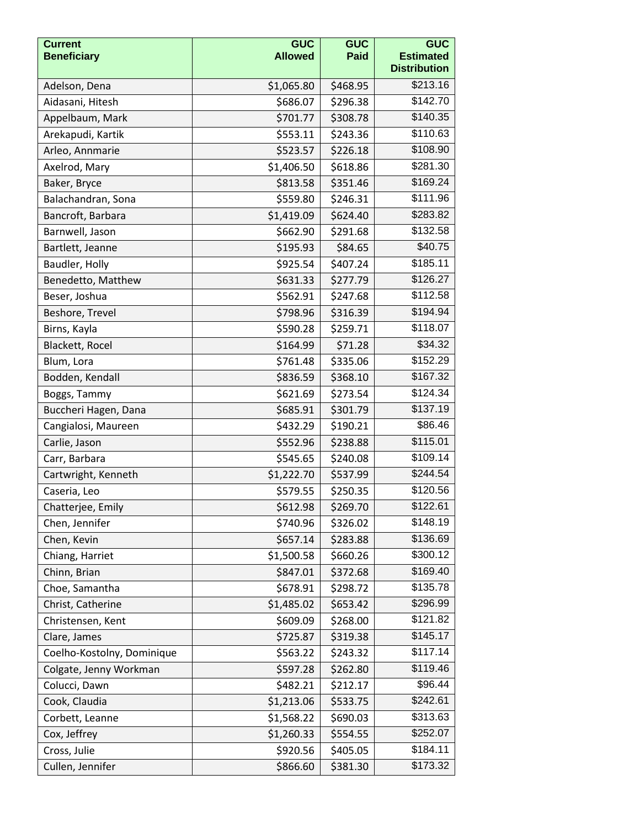| <b>Current</b><br><b>Beneficiary</b> | <b>GUC</b><br><b>Allowed</b> | <b>GUC</b><br><b>Paid</b> | <b>GUC</b><br><b>Estimated</b><br><b>Distribution</b> |
|--------------------------------------|------------------------------|---------------------------|-------------------------------------------------------|
| Adelson, Dena                        | \$1,065.80                   | \$468.95                  | \$213.16                                              |
| Aidasani, Hitesh                     | \$686.07                     | \$296.38                  | \$142.70                                              |
| Appelbaum, Mark                      | \$701.77                     | \$308.78                  | \$140.35                                              |
| Arekapudi, Kartik                    | \$553.11                     | \$243.36                  | \$110.63                                              |
| Arleo, Annmarie                      | \$523.57                     | \$226.18                  | \$108.90                                              |
| Axelrod, Mary                        | \$1,406.50                   | \$618.86                  | \$281.30                                              |
| Baker, Bryce                         | \$813.58                     | \$351.46                  | \$169.24                                              |
| Balachandran, Sona                   | \$559.80                     | \$246.31                  | \$111.96                                              |
| Bancroft, Barbara                    | \$1,419.09                   | \$624.40                  | \$283.82                                              |
| Barnwell, Jason                      | \$662.90                     | \$291.68                  | \$132.58                                              |
| Bartlett, Jeanne                     | \$195.93                     | \$84.65                   | \$40.75                                               |
| Baudler, Holly                       | \$925.54                     | \$407.24                  | \$185.11                                              |
| Benedetto, Matthew                   | \$631.33                     | \$277.79                  | \$126.27                                              |
| Beser, Joshua                        | \$562.91                     | \$247.68                  | \$112.58                                              |
| Beshore, Trevel                      | \$798.96                     | \$316.39                  | \$194.94                                              |
| Birns, Kayla                         | \$590.28                     | \$259.71                  | \$118.07                                              |
| Blackett, Rocel                      | \$164.99                     | \$71.28                   | \$34.32                                               |
| Blum, Lora                           | \$761.48                     | \$335.06                  | $\overline{$}152.29$                                  |
| Bodden, Kendall                      | \$836.59                     | \$368.10                  | \$167.32                                              |
| Boggs, Tammy                         | \$621.69                     | \$273.54                  | \$124.34                                              |
| Buccheri Hagen, Dana                 | \$685.91                     | \$301.79                  | \$137.19                                              |
| Cangialosi, Maureen                  | \$432.29                     | \$190.21                  | \$86.46                                               |
| Carlie, Jason                        | \$552.96                     | \$238.88                  | \$115.01                                              |
| Carr, Barbara                        | \$545.65                     | \$240.08                  | \$109.14                                              |
| Cartwright, Kenneth                  | \$1,222.70                   | \$537.99                  | \$244.54                                              |
| Caseria, Leo                         | \$579.55                     | \$250.35                  | \$120.56                                              |
| Chatterjee, Emily                    | \$612.98                     | \$269.70                  | \$122.61                                              |
| Chen, Jennifer                       | \$740.96                     | \$326.02                  | \$148.19                                              |
| Chen, Kevin                          | \$657.14                     | \$283.88                  | \$136.69                                              |
| Chiang, Harriet                      | \$1,500.58                   | \$660.26                  | \$300.12                                              |
| Chinn, Brian                         | \$847.01                     | \$372.68                  | \$169.40                                              |
| Choe, Samantha                       | \$678.91                     | \$298.72                  | \$135.78                                              |
| Christ, Catherine                    | \$1,485.02                   | \$653.42                  | \$296.99                                              |
| Christensen, Kent                    | \$609.09                     | \$268.00                  | \$121.82                                              |
| Clare, James                         | \$725.87                     | \$319.38                  | \$145.17                                              |
| Coelho-Kostolny, Dominique           | \$563.22                     | \$243.32                  | \$117.14                                              |
| Colgate, Jenny Workman               | \$597.28                     | \$262.80                  | $\overline{$}119.46$                                  |
| Colucci, Dawn                        | \$482.21                     | \$212.17                  | \$96.44                                               |
| Cook, Claudia                        | \$1,213.06                   | \$533.75                  | \$242.61                                              |
| Corbett, Leanne                      | \$1,568.22                   | \$690.03                  | \$313.63                                              |
| Cox, Jeffrey                         | \$1,260.33                   | \$554.55                  | \$252.07                                              |
| Cross, Julie                         | \$920.56                     | \$405.05                  | \$184.11                                              |
| Cullen, Jennifer                     | \$866.60                     | \$381.30                  | \$173.32                                              |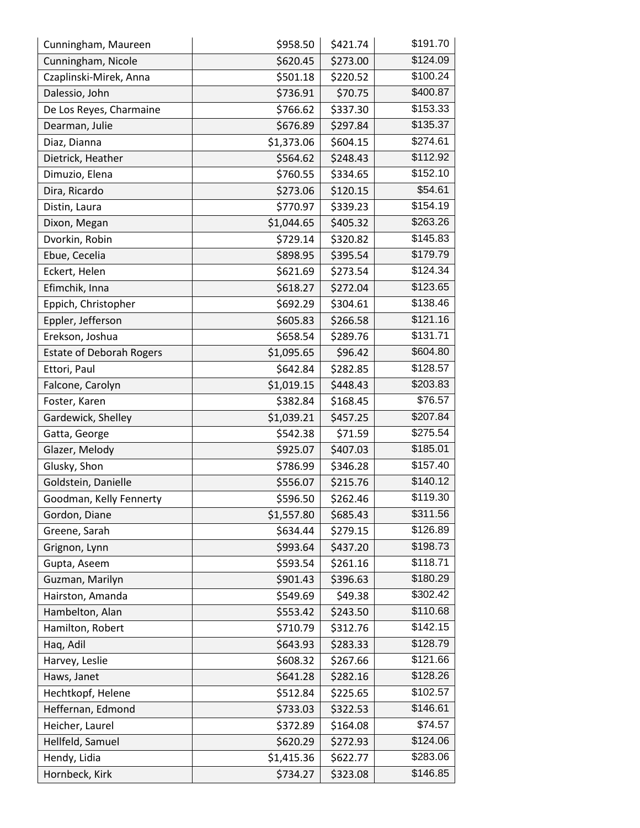| Cunningham, Maureen             | \$958.50   | \$421.74 | \$191.70 |
|---------------------------------|------------|----------|----------|
| Cunningham, Nicole              | \$620.45   | \$273.00 | \$124.09 |
| Czaplinski-Mirek, Anna          | \$501.18   | \$220.52 | \$100.24 |
| Dalessio, John                  | \$736.91   | \$70.75  | \$400.87 |
| De Los Reyes, Charmaine         | \$766.62   | \$337.30 | \$153.33 |
| Dearman, Julie                  | \$676.89   | \$297.84 | \$135.37 |
| Diaz, Dianna                    | \$1,373.06 | \$604.15 | \$274.61 |
| Dietrick, Heather               | \$564.62   | \$248.43 | \$112.92 |
| Dimuzio, Elena                  | \$760.55   | \$334.65 | \$152.10 |
| Dira, Ricardo                   | \$273.06   | \$120.15 | \$54.61  |
| Distin, Laura                   | \$770.97   | \$339.23 | \$154.19 |
| Dixon, Megan                    | \$1,044.65 | \$405.32 | \$263.26 |
| Dvorkin, Robin                  | \$729.14   | \$320.82 | \$145.83 |
| Ebue, Cecelia                   | \$898.95   | \$395.54 | \$179.79 |
| Eckert, Helen                   | \$621.69   | \$273.54 | \$124.34 |
| Efimchik, Inna                  | \$618.27   | \$272.04 | \$123.65 |
| Eppich, Christopher             | \$692.29   | \$304.61 | \$138.46 |
| Eppler, Jefferson               | \$605.83   | \$266.58 | \$121.16 |
| Erekson, Joshua                 | \$658.54   | \$289.76 | \$131.71 |
| <b>Estate of Deborah Rogers</b> | \$1,095.65 | \$96.42  | \$604.80 |
| Ettori, Paul                    | \$642.84   | \$282.85 | \$128.57 |
| Falcone, Carolyn                | \$1,019.15 | \$448.43 | \$203.83 |
| Foster, Karen                   | \$382.84   | \$168.45 | \$76.57  |
| Gardewick, Shelley              | \$1,039.21 | \$457.25 | \$207.84 |
| Gatta, George                   | \$542.38   | \$71.59  | \$275.54 |
| Glazer, Melody                  | \$925.07   | \$407.03 | \$185.01 |
| Glusky, Shon                    | \$786.99   | \$346.28 | \$157.40 |
| Goldstein, Danielle             | \$556.07   | \$215.76 | \$140.12 |
| Goodman, Kelly Fennerty         | \$596.50   | \$262.46 | \$119.30 |
| Gordon, Diane                   | \$1,557.80 | \$685.43 | \$311.56 |
| Greene, Sarah                   | \$634.44   | \$279.15 | \$126.89 |
| Grignon, Lynn                   | \$993.64   | \$437.20 | \$198.73 |
| Gupta, Aseem                    | \$593.54   | \$261.16 | \$118.71 |
| Guzman, Marilyn                 | \$901.43   | \$396.63 | \$180.29 |
| Hairston, Amanda                | \$549.69   | \$49.38  | \$302.42 |
| Hambelton, Alan                 | \$553.42   | \$243.50 | \$110.68 |
| Hamilton, Robert                | \$710.79   | \$312.76 | \$142.15 |
| Haq, Adil                       | \$643.93   | \$283.33 | \$128.79 |
| Harvey, Leslie                  | \$608.32   | \$267.66 | \$121.66 |
| Haws, Janet                     | \$641.28   | \$282.16 | \$128.26 |
| Hechtkopf, Helene               | \$512.84   | \$225.65 | \$102.57 |
| Heffernan, Edmond               | \$733.03   | \$322.53 | \$146.61 |
| Heicher, Laurel                 | \$372.89   | \$164.08 | \$74.57  |
| Hellfeld, Samuel                | \$620.29   | \$272.93 | \$124.06 |
| Hendy, Lidia                    | \$1,415.36 | \$622.77 | \$283.06 |
| Hornbeck, Kirk                  | \$734.27   | \$323.08 | \$146.85 |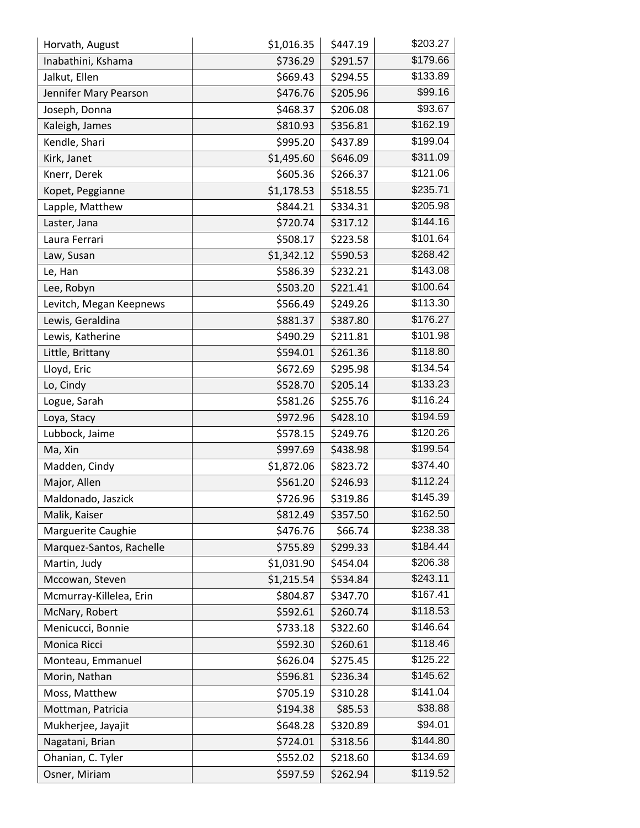| Horvath, August          | \$1,016.35 | \$447.19 | \$203.27 |
|--------------------------|------------|----------|----------|
| Inabathini, Kshama       | \$736.29   | \$291.57 | \$179.66 |
| Jalkut, Ellen            | \$669.43   | \$294.55 | \$133.89 |
| Jennifer Mary Pearson    | \$476.76   | \$205.96 | \$99.16  |
| Joseph, Donna            | \$468.37   | \$206.08 | \$93.67  |
| Kaleigh, James           | \$810.93   | \$356.81 | \$162.19 |
| Kendle, Shari            | \$995.20   | \$437.89 | \$199.04 |
| Kirk, Janet              | \$1,495.60 | \$646.09 | \$311.09 |
| Knerr, Derek             | \$605.36   | \$266.37 | \$121.06 |
| Kopet, Peggianne         | \$1,178.53 | \$518.55 | \$235.71 |
| Lapple, Matthew          | \$844.21   | \$334.31 | \$205.98 |
| Laster, Jana             | \$720.74   | \$317.12 | \$144.16 |
| Laura Ferrari            | \$508.17   | \$223.58 | \$101.64 |
| Law, Susan               | \$1,342.12 | \$590.53 | \$268.42 |
| Le, Han                  | \$586.39   | \$232.21 | \$143.08 |
| Lee, Robyn               | \$503.20   | \$221.41 | \$100.64 |
| Levitch, Megan Keepnews  | \$566.49   | \$249.26 | \$113.30 |
| Lewis, Geraldina         | \$881.37   | \$387.80 | \$176.27 |
| Lewis, Katherine         | \$490.29   | \$211.81 | \$101.98 |
| Little, Brittany         | \$594.01   | \$261.36 | \$118.80 |
| Lloyd, Eric              | \$672.69   | \$295.98 | \$134.54 |
| Lo, Cindy                | \$528.70   | \$205.14 | \$133.23 |
| Logue, Sarah             | \$581.26   | \$255.76 | \$116.24 |
| Loya, Stacy              | \$972.96   | \$428.10 | \$194.59 |
| Lubbock, Jaime           | \$578.15   | \$249.76 | \$120.26 |
| Ma, Xin                  | \$997.69   | \$438.98 | \$199.54 |
| Madden, Cindy            | \$1,872.06 | \$823.72 | \$374.40 |
| Major, Allen             | \$561.20   | \$246.93 | \$112.24 |
| Maldonado, Jaszick       | \$726.96   | \$319.86 | \$145.39 |
| Malik, Kaiser            | \$812.49   | \$357.50 | \$162.50 |
| Marguerite Caughie       | \$476.76   | \$66.74  | \$238.38 |
| Marquez-Santos, Rachelle | \$755.89   | \$299.33 | \$184.44 |
| Martin, Judy             | \$1,031.90 | \$454.04 | \$206.38 |
| Mccowan, Steven          | \$1,215.54 | \$534.84 | \$243.11 |
| Mcmurray-Killelea, Erin  | \$804.87   | \$347.70 | \$167.41 |
| McNary, Robert           | \$592.61   | \$260.74 | \$118.53 |
| Menicucci, Bonnie        | \$733.18   | \$322.60 | \$146.64 |
| Monica Ricci             | \$592.30   | \$260.61 | \$118.46 |
| Monteau, Emmanuel        | \$626.04   | \$275.45 | \$125.22 |
| Morin, Nathan            | \$596.81   | \$236.34 | \$145.62 |
| Moss, Matthew            | \$705.19   | \$310.28 | \$141.04 |
| Mottman, Patricia        | \$194.38   | \$85.53  | \$38.88  |
| Mukherjee, Jayajit       | \$648.28   | \$320.89 | \$94.01  |
| Nagatani, Brian          | \$724.01   | \$318.56 | \$144.80 |
| Ohanian, C. Tyler        | \$552.02   | \$218.60 | \$134.69 |
| Osner, Miriam            | \$597.59   | \$262.94 | \$119.52 |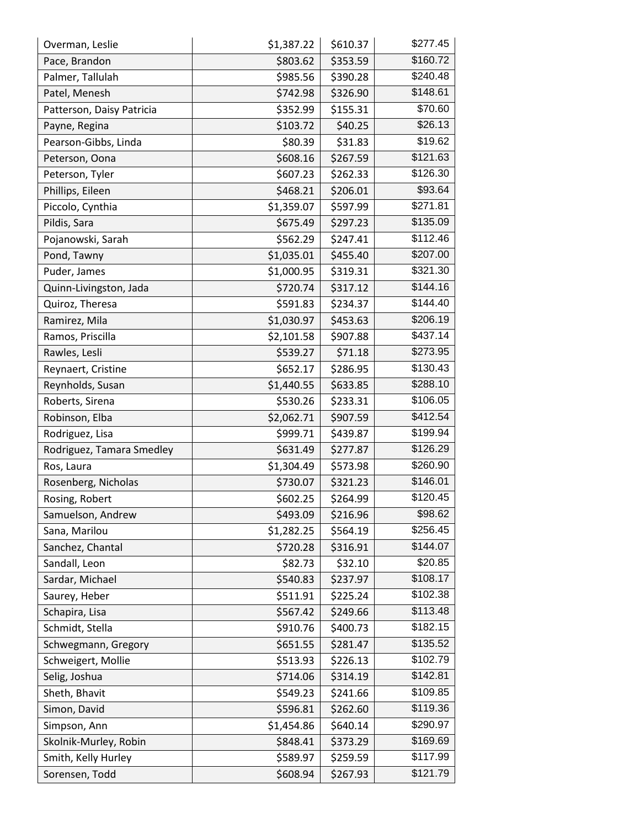| Overman, Leslie           | \$1,387.22 | \$610.37 | \$277.45 |
|---------------------------|------------|----------|----------|
| Pace, Brandon             | \$803.62   | \$353.59 | \$160.72 |
| Palmer, Tallulah          | \$985.56   | \$390.28 | \$240.48 |
| Patel, Menesh             | \$742.98   | \$326.90 | \$148.61 |
| Patterson, Daisy Patricia | \$352.99   | \$155.31 | \$70.60  |
| Payne, Regina             | \$103.72   | \$40.25  | \$26.13  |
| Pearson-Gibbs, Linda      | \$80.39    | \$31.83  | \$19.62  |
| Peterson, Oona            | \$608.16   | \$267.59 | \$121.63 |
| Peterson, Tyler           | \$607.23   | \$262.33 | \$126.30 |
| Phillips, Eileen          | \$468.21   | \$206.01 | \$93.64  |
| Piccolo, Cynthia          | \$1,359.07 | \$597.99 | \$271.81 |
| Pildis, Sara              | \$675.49   | \$297.23 | \$135.09 |
| Pojanowski, Sarah         | \$562.29   | \$247.41 | \$112.46 |
| Pond, Tawny               | \$1,035.01 | \$455.40 | \$207.00 |
| Puder, James              | \$1,000.95 | \$319.31 | \$321.30 |
| Quinn-Livingston, Jada    | \$720.74   | \$317.12 | \$144.16 |
| Quiroz, Theresa           | \$591.83   | \$234.37 | \$144.40 |
| Ramirez, Mila             | \$1,030.97 | \$453.63 | \$206.19 |
| Ramos, Priscilla          | \$2,101.58 | \$907.88 | \$437.14 |
| Rawles, Lesli             | \$539.27   | \$71.18  | \$273.95 |
| Reynaert, Cristine        | \$652.17   | \$286.95 | \$130.43 |
| Reynholds, Susan          | \$1,440.55 | \$633.85 | \$288.10 |
| Roberts, Sirena           | \$530.26   | \$233.31 | \$106.05 |
| Robinson, Elba            | \$2,062.71 | \$907.59 | \$412.54 |
| Rodriguez, Lisa           | \$999.71   | \$439.87 | \$199.94 |
| Rodriguez, Tamara Smedley | \$631.49   | \$277.87 | \$126.29 |
| Ros, Laura                | \$1,304.49 | \$573.98 | \$260.90 |
| Rosenberg, Nicholas       | \$730.07   | \$321.23 | \$146.01 |
| Rosing, Robert            | \$602.25   | \$264.99 | \$120.45 |
| Samuelson, Andrew         | \$493.09   | \$216.96 | \$98.62  |
| Sana, Marilou             | \$1,282.25 | \$564.19 | \$256.45 |
| Sanchez, Chantal          | \$720.28   | \$316.91 | \$144.07 |
| Sandall, Leon             | \$82.73    | \$32.10  | \$20.85  |
| Sardar, Michael           | \$540.83   | \$237.97 | \$108.17 |
| Saurey, Heber             | \$511.91   | \$225.24 | \$102.38 |
| Schapira, Lisa            | \$567.42   | \$249.66 | \$113.48 |
| Schmidt, Stella           | \$910.76   | \$400.73 | \$182.15 |
| Schwegmann, Gregory       | \$651.55   | \$281.47 | \$135.52 |
| Schweigert, Mollie        | \$513.93   | \$226.13 | \$102.79 |
| Selig, Joshua             | \$714.06   | \$314.19 | \$142.81 |
| Sheth, Bhavit             | \$549.23   | \$241.66 | \$109.85 |
| Simon, David              | \$596.81   | \$262.60 | \$119.36 |
| Simpson, Ann              | \$1,454.86 | \$640.14 | \$290.97 |
| Skolnik-Murley, Robin     | \$848.41   | \$373.29 | \$169.69 |
| Smith, Kelly Hurley       | \$589.97   | \$259.59 | \$117.99 |
| Sorensen, Todd            | \$608.94   | \$267.93 | \$121.79 |